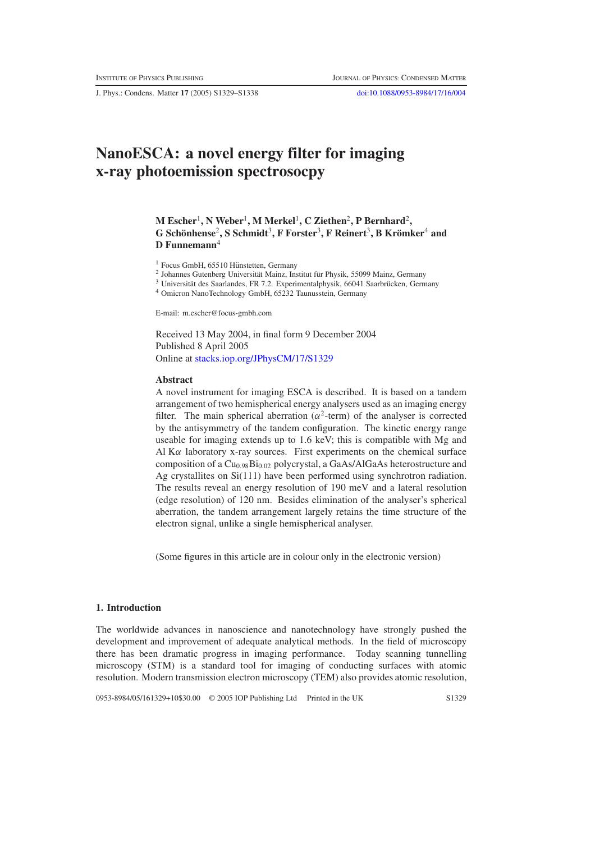J. Phys.: Condens. Matter **17** (2005) S1329–S1338 [doi:10.1088/0953-8984/17/16/004](http://dx.doi.org/10.1088/0953-8984/17/16/004)

# **NanoESCA: a novel energy filter for imaging x-ray photoemission spectrosocpy**

**M Escher**1**, N Weber**1**,MMerkel**1**, C Ziethen**2**, P Bernhard**2**, G Scho¨nhense**<sup>2</sup>**, S Schmidt**3**, F Forster**3**, F Reinert**3**, B Kromker ¨** <sup>4</sup> **and D Funnemann**<sup>4</sup>

 $1$  Focus GmbH, 65510 Hünstetten, Germany

<sup>2</sup> Johannes Gutenberg Universität Mainz, Institut für Physik, 55099 Mainz, Germany

- $3$  Universität des Saarlandes, FR 7.2. Experimentalphysik, 66041 Saarbrücken, Germany
- <sup>4</sup> Omicron NanoTechnology GmbH, 65232 Taunusstein, Germany

E-mail: m.escher@focus-gmbh.com

Received 13 May 2004, in final form 9 December 2004 Published 8 April 2005 Online at [stacks.iop.org/JPhysCM/17/S1329](http://stacks.iop.org/JPhysCM/17/S1329)

#### **Abstract**

A novel instrument for imaging ESCA is described. It is based on a tandem arrangement of two hemispherical energy analysers used as an imaging energy filter. The main spherical aberration ( $\alpha^2$ -term) of the analyser is corrected by the antisymmetry of the tandem configuration. The kinetic energy range useable for imaging extends up to 1.6 keV; this is compatible with Mg and Al  $K\alpha$  laboratory x-ray sources. First experiments on the chemical surface composition of a Cu<sub>0.98</sub>Bi<sub>0.02</sub> polycrystal, a GaAs/AlGaAs heterostructure and Ag crystallites on Si(111) have been performed using synchrotron radiation. The results reveal an energy resolution of 190 meV and a lateral resolution (edge resolution) of 120 nm. Besides elimination of the analyser's spherical aberration, the tandem arrangement largely retains the time structure of the electron signal, unlike a single hemispherical analyser.

(Some figures in this article are in colour only in the electronic version)

## **1. Introduction**

The worldwide advances in nanoscience and nanotechnology have strongly pushed the development and improvement of adequate analytical methods. In the field of microscopy there has been dramatic progress in imaging performance. Today scanning tunnelling microscopy (STM) is a standard tool for imaging of conducting surfaces with atomic resolution. Modern transmission electron microscopy (TEM) also provides atomic resolution,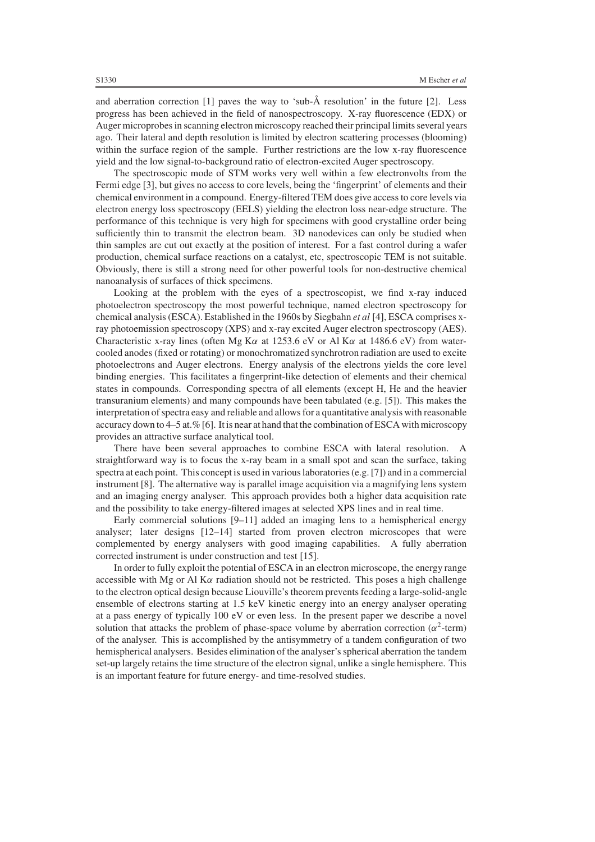and aberration correction [1] paves the way to 'sub-Å resolution' in the future [2]. Less progress has been achieved in the field of nanospectroscopy. X-ray fluorescence (EDX) or Auger microprobes in scanning electron microscopy reached their principal limits several years ago. Their lateral and depth resolution is limited by electron scattering processes (blooming) within the surface region of the sample. Further restrictions are the low x-ray fluorescence yield and the low signal-to-background ratio of electron-excited Auger spectroscopy.

The spectroscopic mode of STM works very well within a few electronvolts from the Fermi edge [3], but gives no access to core levels, being the 'fingerprint' of elements and their chemical environment in a compound. Energy-filtered TEM does give access to core levels via electron energy loss spectroscopy (EELS) yielding the electron loss near-edge structure. The performance of this technique is very high for specimens with good crystalline order being sufficiently thin to transmit the electron beam. 3D nanodevices can only be studied when thin samples are cut out exactly at the position of interest. For a fast control during a wafer production, chemical surface reactions on a catalyst, etc, spectroscopic TEM is not suitable. Obviously, there is still a strong need for other powerful tools for non-destructive chemical nanoanalysis of surfaces of thick specimens.

Looking at the problem with the eyes of a spectroscopist, we find x-ray induced photoelectron spectroscopy the most powerful technique, named electron spectroscopy for chemical analysis (ESCA). Established in the 1960s by Siegbahn *et al* [4], ESCA comprises xray photoemission spectroscopy (XPS) and x-ray excited Auger electron spectroscopy (AES). Characteristic x-ray lines (often Mg K $\alpha$  at 1253.6 eV or Al K $\alpha$  at 1486.6 eV) from watercooled anodes (fixed or rotating) or monochromatized synchrotron radiation are used to excite photoelectrons and Auger electrons. Energy analysis of the electrons yields the core level binding energies. This facilitates a fingerprint-like detection of elements and their chemical states in compounds. Corresponding spectra of all elements (except H, He and the heavier transuranium elements) and many compounds have been tabulated (e.g. [5]). This makes the interpretation of spectra easy and reliable and allows for a quantitative analysis with reasonable accuracy down to 4–5 at.% [6]. It is near at hand that the combination of ESCA with microscopy provides an attractive surface analytical tool.

There have been several approaches to combine ESCA with lateral resolution. A straightforward way is to focus the x-ray beam in a small spot and scan the surface, taking spectra at each point. This concept is used in variouslaboratories (e.g. [7]) and in a commercial instrument [8]. The alternative way is parallel image acquisition via a magnifying lens system and an imaging energy analyser. This approach provides both a higher data acquisition rate and the possibility to take energy-filtered images at selected XPS lines and in real time.

Early commercial solutions [9–11] added an imaging lens to a hemispherical energy analyser; later designs [12–14] started from proven electron microscopes that were complemented by energy analysers with good imaging capabilities. A fully aberration corrected instrument is under construction and test [15].

In order to fully exploit the potential of ESCA in an electron microscope, the energy range accessible with Mg or Al K $\alpha$  radiation should not be restricted. This poses a high challenge to the electron optical design because Liouville's theorem prevents feeding a large-solid-angle ensemble of electrons starting at 1.5 keV kinetic energy into an energy analyser operating at a pass energy of typically 100 eV or even less. In the present paper we describe a novel solution that attacks the problem of phase-space volume by aberration correction ( $\alpha^2$ -term) of the analyser. This is accomplished by the antisymmetry of a tandem configuration of two hemispherical analysers. Besides elimination of the analyser's spherical aberration the tandem set-up largely retains the time structure of the electron signal, unlike a single hemisphere. This is an important feature for future energy- and time-resolved studies.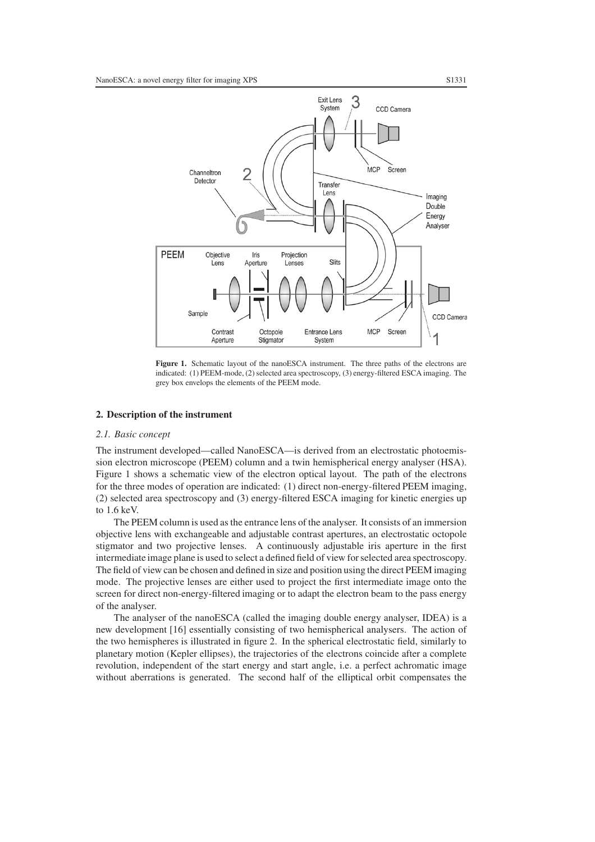

**Figure 1.** Schematic layout of the nanoESCA instrument. The three paths of the electrons are indicated: (1) PEEM-mode, (2) selected area spectroscopy, (3) energy-filtered ESCA imaging. The grey box envelops the elements of the PEEM mode.

#### **2. Description of the instrument**

#### *2.1. Basic concept*

The instrument developed—called NanoESCA—is derived from an electrostatic photoemission electron microscope (PEEM) column and a twin hemispherical energy analyser (HSA). Figure 1 shows a schematic view of the electron optical layout. The path of the electrons for the three modes of operation are indicated: (1) direct non-energy-filtered PEEM imaging, (2) selected area spectroscopy and (3) energy-filtered ESCA imaging for kinetic energies up to 1.6 keV.

The PEEM column is used as the entrance lens of the analyser. It consists of an immersion objective lens with exchangeable and adjustable contrast apertures, an electrostatic octopole stigmator and two projective lenses. A continuously adjustable iris aperture in the first intermediate image plane is used to select a defined field of view for selected area spectroscopy. The field of view can be chosen and defined in size and position using the direct PEEM imaging mode. The projective lenses are either used to project the first intermediate image onto the screen for direct non-energy-filtered imaging or to adapt the electron beam to the pass energy of the analyser.

The analyser of the nanoESCA (called the imaging double energy analyser, IDEA) is a new development [16] essentially consisting of two hemispherical analysers. The action of the two hemispheres is illustrated in figure 2. In the spherical electrostatic field, similarly to planetary motion (Kepler ellipses), the trajectories of the electrons coincide after a complete revolution, independent of the start energy and start angle, i.e. a perfect achromatic image without aberrations is generated. The second half of the elliptical orbit compensates the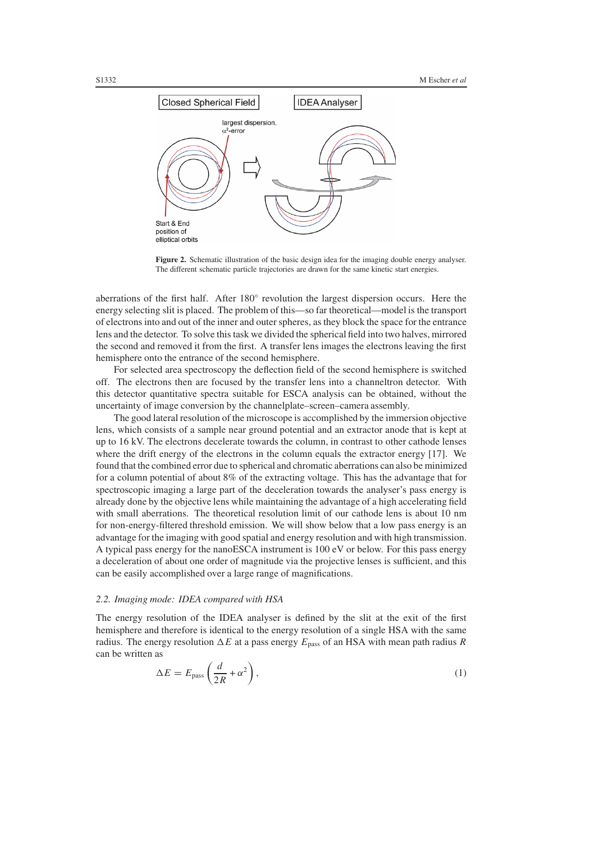

**Figure 2.** Schematic illustration of the basic design idea for the imaging double energy analyser. The different schematic particle trajectories are drawn for the same kinetic start energies.

aberrations of the first half. After 180◦ revolution the largest dispersion occurs. Here the energy selecting slit is placed. The problem of this—so far theoretical—model is the transport of electrons into and out of the inner and outer spheres, as they block the space for the entrance lens and the detector. To solve this task we divided the spherical field into two halves, mirrored the second and removed it from the first. A transfer lens images the electrons leaving the first hemisphere onto the entrance of the second hemisphere.

For selected area spectroscopy the deflection field of the second hemisphere is switched off. The electrons then are focused by the transfer lens into a channeltron detector. With this detector quantitative spectra suitable for ESCA analysis can be obtained, without the uncertainty of image conversion by the channelplate–screen–camera assembly.

The good lateral resolution of the microscope is accomplished by the immersion objective lens, which consists of a sample near ground potential and an extractor anode that is kept at up to 16 kV. The electrons decelerate towards the column, in contrast to other cathode lenses where the drift energy of the electrons in the column equals the extractor energy [17]. We found that the combined error due to spherical and chromatic aberrations can also be minimized for a column potential of about 8% of the extracting voltage. This has the advantage that for spectroscopic imaging a large part of the deceleration towards the analyser's pass energy is already done by the objective lens while maintaining the advantage of a high accelerating field with small aberrations. The theoretical resolution limit of our cathode lens is about 10 nm for non-energy-filtered threshold emission. We will show below that a low pass energy is an advantage for the imaging with good spatial and energy resolution and with high transmission. A typical pass energy for the nanoESCA instrument is 100 eV or below. For this pass energy a deceleration of about one order of magnitude via the projective lenses is sufficient, and this can be easily accomplished over a large range of magnifications.

# *2.2. Imaging mode: IDEA compared with HSA*

The energy resolution of the IDEA analyser is defined by the slit at the exit of the first hemisphere and therefore is identical to the energy resolution of a single HSA with the same radius. The energy resolution  $\Delta E$  at a pass energy  $E_{\text{pass}}$  of an HSA with mean path radius R can be written as

$$
\Delta E = E_{\text{pass}} \left( \frac{d}{2R} + \alpha^2 \right),\tag{1}
$$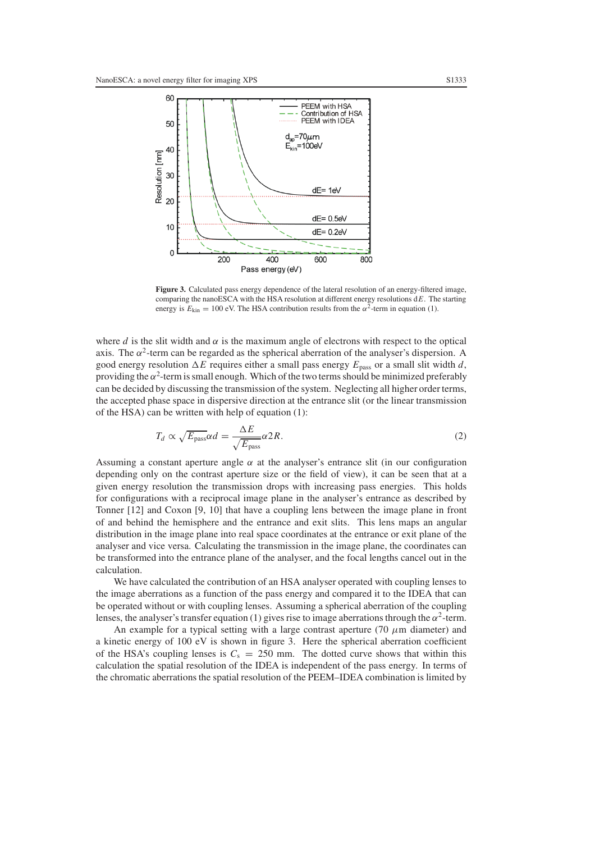

Figure 3. Calculated pass energy dependence of the lateral resolution of an energy-filtered image, comparing the nanoESCA with the HSA resolution at different energy resolutions d*E*. The starting energy is  $E_{\text{kin}} = 100$  eV. The HSA contribution results from the  $\alpha^2$ -term in equation (1).

where *d* is the slit width and  $\alpha$  is the maximum angle of electrons with respect to the optical axis. The  $\alpha^2$ -term can be regarded as the spherical aberration of the analyser's dispersion. A good energy resolution  $\Delta E$  requires either a small pass energy  $E_{\text{pass}}$  or a small slit width *d*, providing the  $\alpha^2$ -term is small enough. Which of the two terms should be minimized preferably can be decided by discussing the transmission of the system. Neglecting all higher order terms, the accepted phase space in dispersive direction at the entrance slit (or the linear transmission of the HSA) can be written with help of equation (1):

$$
T_d \propto \sqrt{E_{\text{pass}}} \alpha d = \frac{\Delta E}{\sqrt{E_{\text{pass}}}} \alpha 2R. \tag{2}
$$

Assuming a constant aperture angle  $\alpha$  at the analyser's entrance slit (in our configuration depending only on the contrast aperture size or the field of view), it can be seen that at a given energy resolution the transmission drops with increasing pass energies. This holds for configurations with a reciprocal image plane in the analyser's entrance as described by Tonner [12] and Coxon [9, 10] that have a coupling lens between the image plane in front of and behind the hemisphere and the entrance and exit slits. This lens maps an angular distribution in the image plane into real space coordinates at the entrance or exit plane of the analyser and vice versa. Calculating the transmission in the image plane, the coordinates can be transformed into the entrance plane of the analyser, and the focal lengths cancel out in the calculation.

We have calculated the contribution of an HSA analyser operated with coupling lenses to the image aberrations as a function of the pass energy and compared it to the IDEA that can be operated without or with coupling lenses. Assuming a spherical aberration of the coupling lenses, the analyser's transfer equation (1) gives rise to image aberrations through the  $\alpha^2$ -term.

An example for a typical setting with a large contrast aperture (70  $\mu$ m diameter) and a kinetic energy of 100 eV is shown in figure 3. Here the spherical aberration coefficient of the HSA's coupling lenses is  $C_s = 250$  mm. The dotted curve shows that within this calculation the spatial resolution of the IDEA is independent of the pass energy. In terms of the chromatic aberrations the spatial resolution of the PEEM–IDEA combination is limited by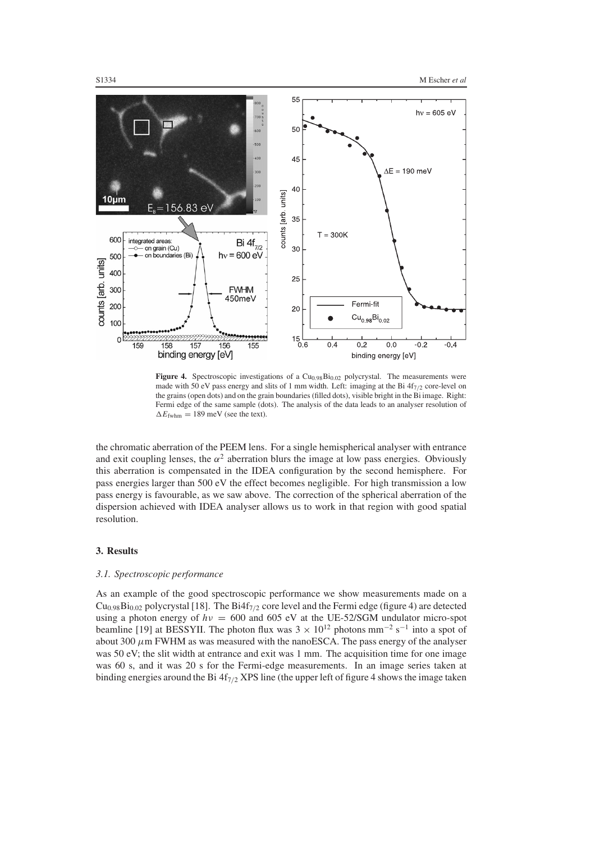

Figure 4. Spectroscopic investigations of a Cu<sub>0.98</sub>Bi<sub>0.02</sub> polycrystal. The measurements were made with 50 eV pass energy and slits of 1 mm width. Left: imaging at the Bi  $4f_{7/2}$  core-level on the grains (open dots) and on the grain boundaries (filled dots), visible bright in the Bi image. Right: Fermi edge of the same sample (dots). The analysis of the data leads to an analyser resolution of  $\Delta E_{\text{fwhm}} = 189 \text{ meV}$  (see the text).

the chromatic aberration of the PEEM lens. For a single hemispherical analyser with entrance and exit coupling lenses, the  $\alpha^2$  aberration blurs the image at low pass energies. Obviously this aberration is compensated in the IDEA configuration by the second hemisphere. For pass energies larger than 500 eV the effect becomes negligible. For high transmission a low pass energy is favourable, as we saw above. The correction of the spherical aberration of the dispersion achieved with IDEA analyser allows us to work in that region with good spatial resolution.

#### **3. Results**

#### *3.1. Spectroscopic performance*

As an example of the good spectroscopic performance we show measurements made on a  $Cu<sub>0.98</sub>Bi<sub>0.02</sub>$  polycrystal [18]. The Bi4f<sub>7/2</sub> core level and the Fermi edge (figure 4) are detected using a photon energy of  $h\nu = 600$  and 605 eV at the UE-52/SGM undulator micro-spot beamline [19] at BESSYII. The photon flux was  $3 \times 10^{12}$  photons mm<sup>-2</sup> s<sup>-1</sup> into a spot of about 300  $\mu$ m FWHM as was measured with the nanoESCA. The pass energy of the analyser was 50 eV; the slit width at entrance and exit was 1 mm. The acquisition time for one image was 60 s, and it was 20 s for the Fermi-edge measurements. In an image series taken at binding energies around the Bi  $4f_{7/2}$  XPS line (the upper left of figure 4 shows the image taken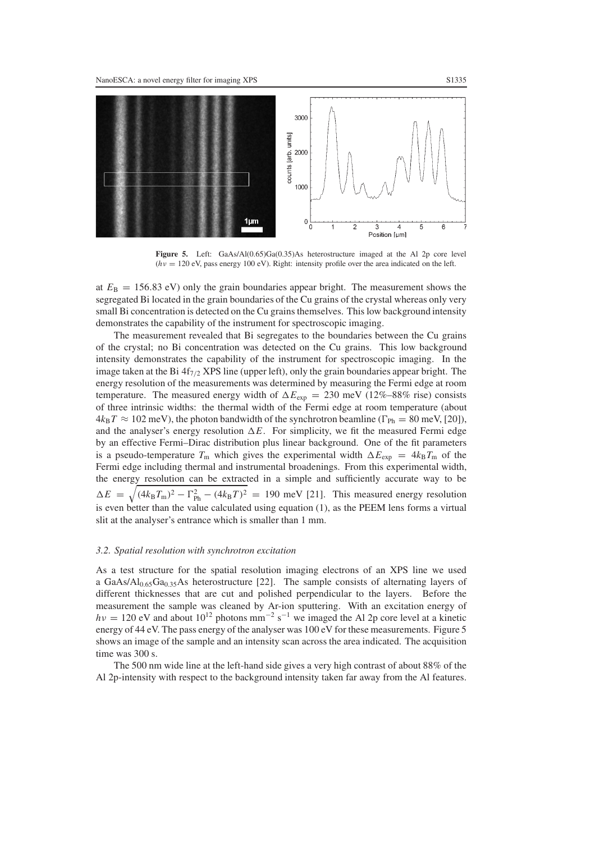

**Figure 5.** Left: GaAs/Al(0.65)Ga(0.35)As heterostructure imaged at the Al 2p core level  $(hv = 120 \text{ eV})$ , pass energy 100 eV). Right: intensity profile over the area indicated on the left.

at  $E_B = 156.83$  eV) only the grain boundaries appear bright. The measurement shows the segregated Bi located in the grain boundaries of the Cu grains of the crystal whereas only very small Bi concentration is detected on the Cu grains themselves. This low background intensity demonstrates the capability of the instrument for spectroscopic imaging.

The measurement revealed that Bi segregates to the boundaries between the Cu grains of the crystal; no Bi concentration was detected on the Cu grains. This low background intensity demonstrates the capability of the instrument for spectroscopic imaging. In the image taken at the Bi  $4f_{7/2}$  XPS line (upper left), only the grain boundaries appear bright. The energy resolution of the measurements was determined by measuring the Fermi edge at room temperature. The measured energy width of  $\Delta E_{\text{exp}} = 230 \text{ meV}$  (12%–88% rise) consists of three intrinsic widths: the thermal width of the Fermi edge at room temperature (about  $4k_BT \approx 102$  meV), the photon bandwidth of the synchrotron beamline ( $\Gamma_{Ph} = 80$  meV, [20]), and the analyser's energy resolution  $\Delta E$ . For simplicity, we fit the measured Fermi edge by an effective Fermi–Dirac distribution plus linear background. One of the fit parameters is a pseudo-temperature  $T_m$  which gives the experimental width  $\Delta E_{\rm exp} = 4k_B T_m$  of the Fermi edge including thermal and instrumental broadenings. From this experimental width, the energy resolution can be extracted in a simple and sufficiently accurate way to be  $\Delta E = \sqrt{(4k_B T_m)^2 - \Gamma_{\text{Ph}}^2 - (4k_B T)^2} = 190 \text{ meV}$  [21]. This measured energy resolution is even better than the value calculated using equation (1), as the PEEM lens forms a virtual slit at the analyser's entrance which is smaller than 1 mm.

#### *3.2. Spatial resolution with synchrotron excitation*

As a test structure for the spatial resolution imaging electrons of an XPS line we used a GaAs/Al<sub>0.65</sub>Ga<sub>0.35</sub>As heterostructure [22]. The sample consists of alternating layers of different thicknesses that are cut and polished perpendicular to the layers. Before the measurement the sample was cleaned by Ar-ion sputtering. With an excitation energy of *hv* = 120 eV and about 10<sup>12</sup> photons mm<sup>−2</sup> s<sup>−1</sup> we imaged the Al 2p core level at a kinetic energy of 44 eV. The pass energy of the analyser was 100 eV for these measurements. Figure 5 shows an image of the sample and an intensity scan across the area indicated. The acquisition time was 300 s.

The 500 nm wide line at the left-hand side gives a very high contrast of about 88% of the Al 2p-intensity with respect to the background intensity taken far away from the Al features.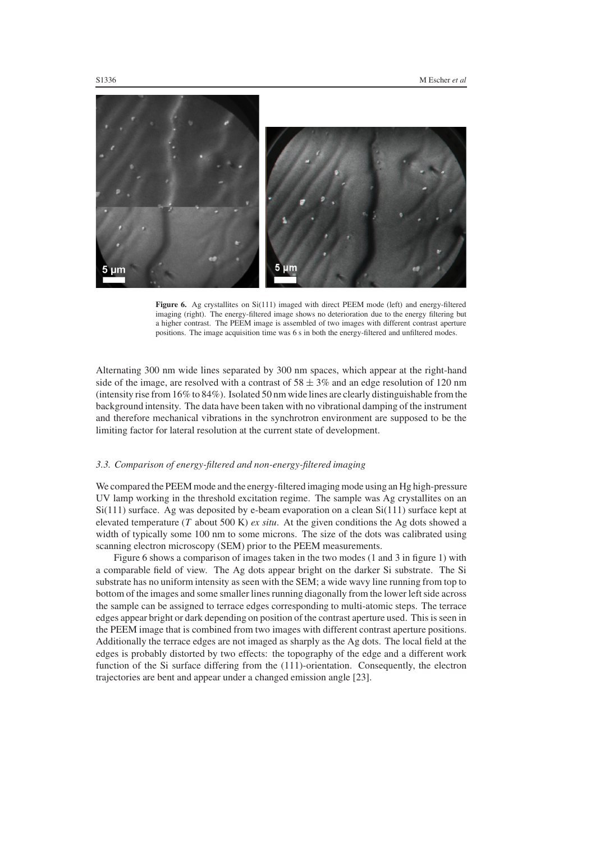

Figure 6. Ag crystallites on Si(111) imaged with direct PEEM mode (left) and energy-filtered imaging (right). The energy-filtered image shows no deterioration due to the energy filtering but a higher contrast. The PEEM image is assembled of two images with different contrast aperture positions. The image acquisition time was 6 s in both the energy-filtered and unfiltered modes.

Alternating 300 nm wide lines separated by 300 nm spaces, which appear at the right-hand side of the image, are resolved with a contrast of  $58 \pm 3\%$  and an edge resolution of 120 nm (intensity rise from 16% to 84%). Isolated 50 nm wide lines are clearly distinguishable from the background intensity. The data have been taken with no vibrational damping of the instrument and therefore mechanical vibrations in the synchrotron environment are supposed to be the limiting factor for lateral resolution at the current state of development.

## *3.3. Comparison of energy-filtered and non-energy-filtered imaging*

We compared the PEEM mode and the energy-filtered imaging mode using an Hg high-pressure UV lamp working in the threshold excitation regime. The sample was Ag crystallites on an  $Si(111)$  surface. Ag was deposited by e-beam evaporation on a clean  $Si(111)$  surface kept at elevated temperature (*T* about 500 K) *ex situ*. At the given conditions the Ag dots showed a width of typically some 100 nm to some microns. The size of the dots was calibrated using scanning electron microscopy (SEM) prior to the PEEM measurements.

Figure 6 shows a comparison of images taken in the two modes (1 and 3 in figure 1) with a comparable field of view. The Ag dots appear bright on the darker Si substrate. The Si substrate has no uniform intensity as seen with the SEM; a wide wavy line running from top to bottom of the images and some smaller lines running diagonally from the lower left side across the sample can be assigned to terrace edges corresponding to multi-atomic steps. The terrace edges appear bright or dark depending on position of the contrast aperture used. This is seen in the PEEM image that is combined from two images with different contrast aperture positions. Additionally the terrace edges are not imaged as sharply as the Ag dots. The local field at the edges is probably distorted by two effects: the topography of the edge and a different work function of the Si surface differing from the (111)-orientation. Consequently, the electron trajectories are bent and appear under a changed emission angle [23].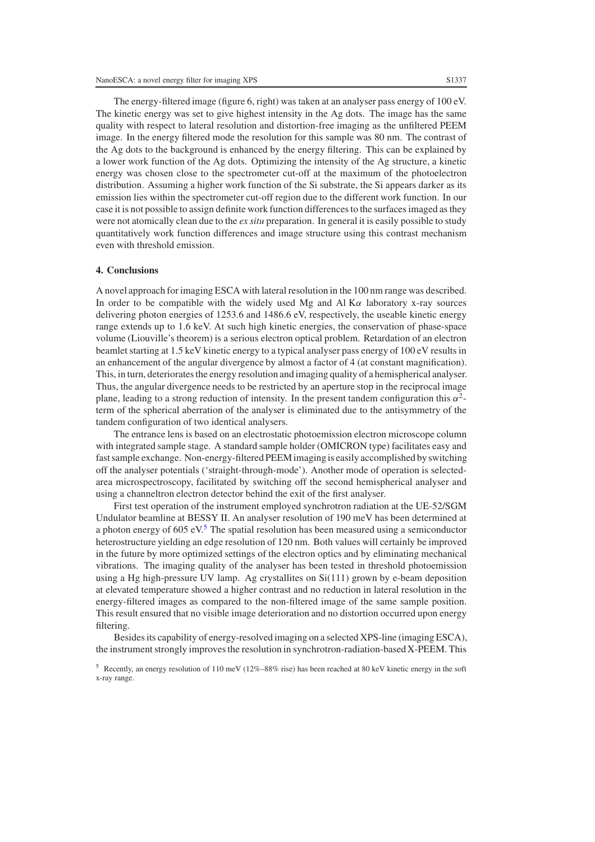The energy-filtered image (figure 6, right) was taken at an analyser pass energy of 100 eV. The kinetic energy was set to give highest intensity in the Ag dots. The image has the same quality with respect to lateral resolution and distortion-free imaging as the unfiltered PEEM image. In the energy filtered mode the resolution for this sample was 80 nm. The contrast of the Ag dots to the background is enhanced by the energy filtering. This can be explained by a lower work function of the Ag dots. Optimizing the intensity of the Ag structure, a kinetic energy was chosen close to the spectrometer cut-off at the maximum of the photoelectron distribution. Assuming a higher work function of the Si substrate, the Si appears darker as its emission lies within the spectrometer cut-off region due to the different work function. In our case it is not possible to assign definite work function differences to the surfaces imaged as they were not atomically clean due to the *ex situ* preparation. In general it is easily possible to study quantitatively work function differences and image structure using this contrast mechanism even with threshold emission.

## **4. Conclusions**

A novel approach for imaging ESCA with lateral resolution in the 100 nm range was described. In order to be compatible with the widely used Mg and Al  $K\alpha$  laboratory x-ray sources delivering photon energies of 1253.6 and 1486.6 eV, respectively, the useable kinetic energy range extends up to 1.6 keV. At such high kinetic energies, the conservation of phase-space volume (Liouville's theorem) is a serious electron optical problem. Retardation of an electron beamlet starting at 1.5 keV kinetic energy to a typical analyser pass energy of 100 eV results in an enhancement of the angular divergence by almost a factor of 4 (at constant magnification). This, in turn, deteriorates the energy resolution and imaging quality of a hemispherical analyser. Thus, the angular divergence needs to be restricted by an aperture stop in the reciprocal image plane, leading to a strong reduction of intensity. In the present tandem configuration this  $\alpha^2$ term of the spherical aberration of the analyser is eliminated due to the antisymmetry of the tandem configuration of two identical analysers.

The entrance lens is based on an electrostatic photoemission electron microscope column with integrated sample stage. A standard sample holder (OMICRON type) facilitates easy and fastsample exchange. Non-energy-filtered PEEM imaging is easily accomplished by switching off the analyser potentials ('straight-through-mode'). Another mode of operation is selectedarea microspectroscopy, facilitated by switching off the second hemispherical analyser and using a channeltron electron detector behind the exit of the first analyser.

First test operation of the instrument employed synchrotron radiation at the UE-52/SGM Undulator beamline at BESSY II. An analyser resolution of 190 meV has been determined at a photon energy of 60[5](#page-8-0) eV. $5$  The spatial resolution has been measured using a semiconductor heterostructure yielding an edge resolution of 120 nm. Both values will certainly be improved in the future by more optimized settings of the electron optics and by eliminating mechanical vibrations. The imaging quality of the analyser has been tested in threshold photoemission using a Hg high-pressure UV lamp. Ag crystallites on Si(111) grown by e-beam deposition at elevated temperature showed a higher contrast and no reduction in lateral resolution in the energy-filtered images as compared to the non-filtered image of the same sample position. This result ensured that no visible image deterioration and no distortion occurred upon energy filtering.

Besides its capability of energy-resolved imaging on a selected XPS-line (imaging ESCA), the instrument strongly improves the resolution in synchrotron-radiation-based X-PEEM. This

<span id="page-8-0"></span><sup>&</sup>lt;sup>5</sup> Recently, an energy resolution of 110 meV ( $12\% - 88\%$  rise) has been reached at 80 keV kinetic energy in the soft x-ray range.